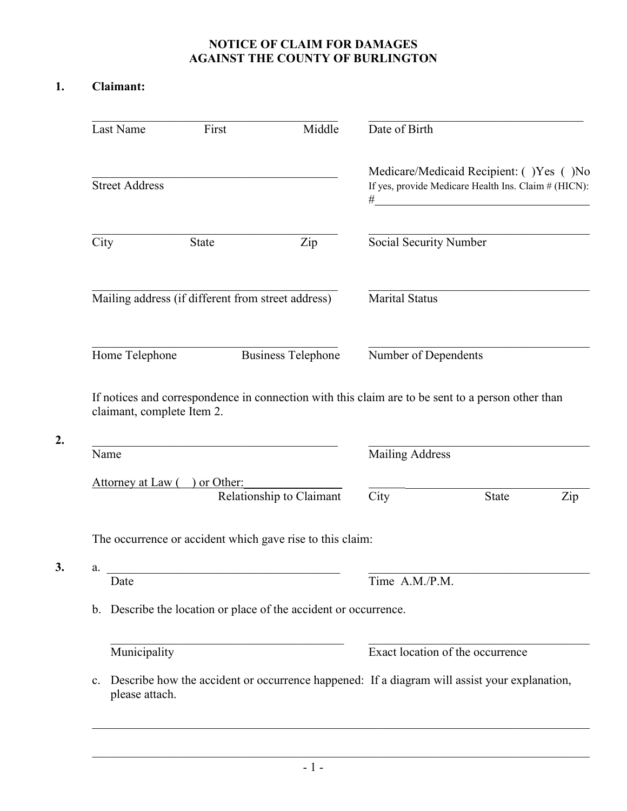## **NOTICE OF CLAIM FOR DAMAGES AGAINST THE COUNTY OF BURLINGTON**

## **1. Claimant:**

| Last Name                          | First                                              | Middle                                                                                            | Date of Birth          |                                                                                                 |     |
|------------------------------------|----------------------------------------------------|---------------------------------------------------------------------------------------------------|------------------------|-------------------------------------------------------------------------------------------------|-----|
| <b>Street Address</b>              |                                                    |                                                                                                   | #                      | Medicare/Medicaid Recipient: ()Yes ()No<br>If yes, provide Medicare Health Ins. Claim # (HICN): |     |
| City                               | <b>State</b>                                       | Zip                                                                                               | Social Security Number |                                                                                                 |     |
|                                    | Mailing address (if different from street address) |                                                                                                   | <b>Marital Status</b>  |                                                                                                 |     |
| Home Telephone                     |                                                    | <b>Business Telephone</b>                                                                         | Number of Dependents   |                                                                                                 |     |
|                                    |                                                    |                                                                                                   |                        |                                                                                                 |     |
| claimant, complete Item 2.<br>Name |                                                    | If notices and correspondence in connection with this claim are to be sent to a person other than | <b>Mailing Address</b> |                                                                                                 |     |
|                                    | Attorney at Law () or Other:                       |                                                                                                   |                        |                                                                                                 |     |
|                                    |                                                    | Relationship to Claimant                                                                          | City                   | <b>State</b>                                                                                    | Zip |
|                                    |                                                    | The occurrence or accident which gave rise to this claim:                                         |                        |                                                                                                 |     |
| a.<br>Date                         |                                                    |                                                                                                   | Time A.M./P.M.         |                                                                                                 |     |
|                                    |                                                    | b. Describe the location or place of the accident or occurrence.                                  |                        |                                                                                                 |     |
| Municipality                       |                                                    |                                                                                                   |                        | Exact location of the occurrence                                                                |     |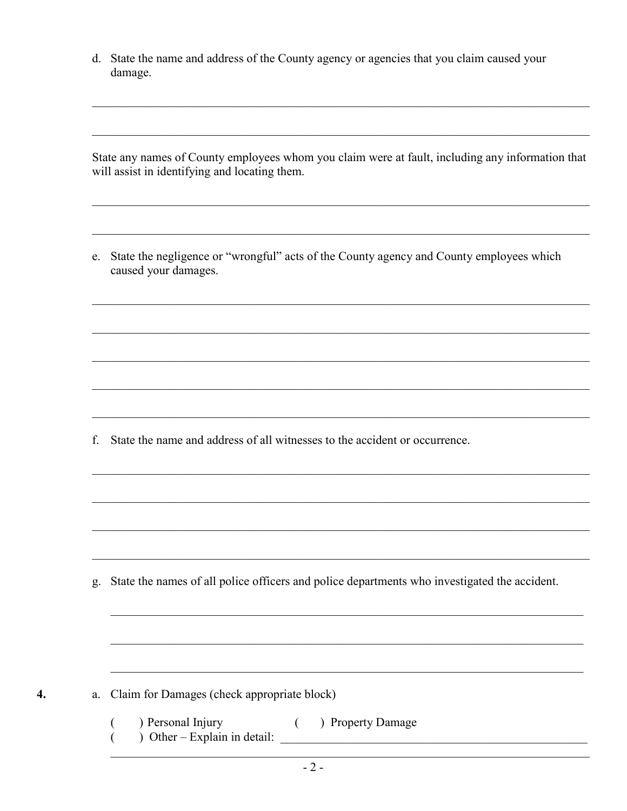d. State the name and address of the County agency or agencies that you claim caused your damage.

State any names of County employees whom you claim were at fault, including any information that will assist in identifying and locating them.

e. State the negligence or "wrongful" acts of the County agency and County employees which caused your damages.

f. State the name and address of all witnesses to the accident or occurrence.

g. State the names of all police officers and police departments who investigated the accident.

a. Claim for Damages (check appropriate block)

 $\overline{4}$ .

( ) Property Damage  $\overline{(\ }$ ) Personal Injury The Channel Hymer detail:  $\frac{1}{2}$  and  $\frac{1}{2}$  are the contract of  $\frac{1}{2}$  and  $\frac{1}{2}$  are the contract of  $\frac{1}{2}$  and  $\frac{1}{2}$  are the contract of  $\frac{1}{2}$  and  $\frac{1}{2}$  are the contract of  $\frac{1}{2}$  and  $\frac{1$  $\left($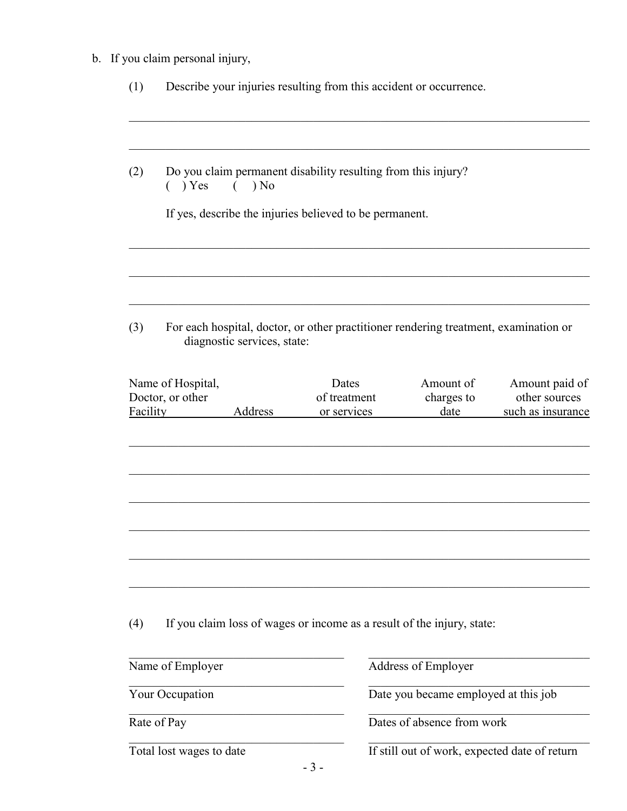b. If you claim personal injury,

| (1)      | Describe your injuries resulting from this accident or occurrence.                                                  |                       |                                      |                                               |
|----------|---------------------------------------------------------------------------------------------------------------------|-----------------------|--------------------------------------|-----------------------------------------------|
| (2)      | Do you claim permanent disability resulting from this injury?<br>) Yes<br>) No<br>(                                 |                       |                                      |                                               |
|          | If yes, describe the injuries believed to be permanent.                                                             |                       |                                      |                                               |
| (3)      | For each hospital, doctor, or other practitioner rendering treatment, examination or<br>diagnostic services, state: |                       |                                      |                                               |
|          | Name of Hospital,<br>Doctor, or other                                                                               | Dates<br>of treatment | Amount of<br>charges to              | Amount paid of<br>other sources               |
| Facility | Address                                                                                                             | or services           | date                                 | such as insurance                             |
|          |                                                                                                                     |                       |                                      |                                               |
|          |                                                                                                                     |                       |                                      |                                               |
| (4)      | If you claim loss of wages or income as a result of the injury, state:                                              |                       |                                      |                                               |
|          | Name of Employer                                                                                                    |                       | Address of Employer                  |                                               |
|          | Your Occupation                                                                                                     |                       | Date you became employed at this job |                                               |
|          | Rate of Pay                                                                                                         |                       | Dates of absence from work           |                                               |
|          | Total lost wages to date                                                                                            |                       |                                      | If still out of work, expected date of return |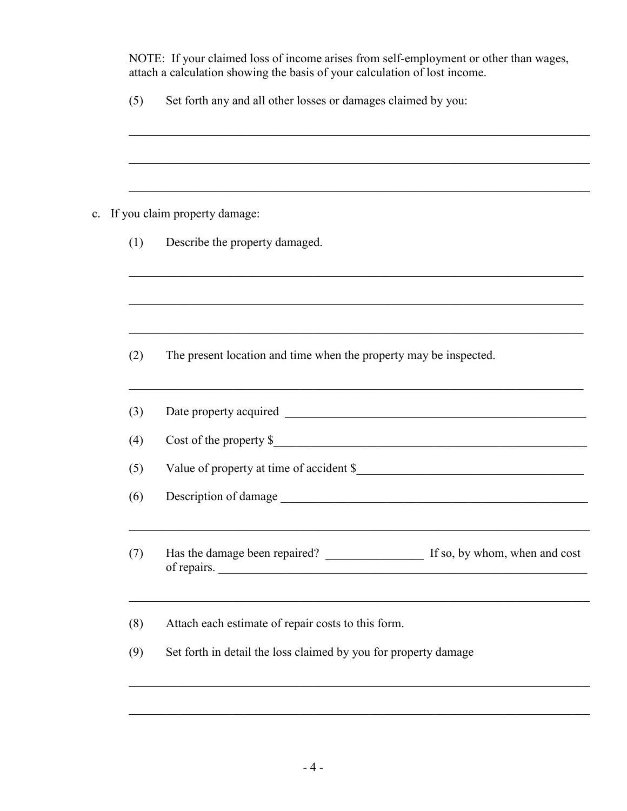NOTE: If your claimed loss of income arises from self-employment or other than wages, attach a calculation showing the basis of your calculation of lost income.

| (5) | Set forth any and all other losses or damages claimed by you: |  |  |
|-----|---------------------------------------------------------------|--|--|
|     |                                                               |  |  |

| If you claim property damage:<br>$\mathbf{c}$ . |
|-------------------------------------------------|
|-------------------------------------------------|

(2) The present location and time when the property may be inspected.

| (3) | Date property acquired                       |                               |
|-----|----------------------------------------------|-------------------------------|
| (4) | Cost of the property $\$                     |                               |
| (5) | Value of property at time of accident \$     |                               |
| (6) | Description of damage                        |                               |
| (7) | Has the damage been repaired?<br>of repairs. | If so, by whom, when and cost |

 $\mathcal{L}_\mathcal{L} = \mathcal{L}_\mathcal{L} = \mathcal{L}_\mathcal{L} = \mathcal{L}_\mathcal{L} = \mathcal{L}_\mathcal{L} = \mathcal{L}_\mathcal{L} = \mathcal{L}_\mathcal{L} = \mathcal{L}_\mathcal{L} = \mathcal{L}_\mathcal{L} = \mathcal{L}_\mathcal{L} = \mathcal{L}_\mathcal{L} = \mathcal{L}_\mathcal{L} = \mathcal{L}_\mathcal{L} = \mathcal{L}_\mathcal{L} = \mathcal{L}_\mathcal{L} = \mathcal{L}_\mathcal{L} = \mathcal{L}_\mathcal{L}$ 

 $\mathcal{L}_\mathcal{L} = \mathcal{L}_\mathcal{L} = \mathcal{L}_\mathcal{L} = \mathcal{L}_\mathcal{L} = \mathcal{L}_\mathcal{L} = \mathcal{L}_\mathcal{L} = \mathcal{L}_\mathcal{L} = \mathcal{L}_\mathcal{L} = \mathcal{L}_\mathcal{L} = \mathcal{L}_\mathcal{L} = \mathcal{L}_\mathcal{L} = \mathcal{L}_\mathcal{L} = \mathcal{L}_\mathcal{L} = \mathcal{L}_\mathcal{L} = \mathcal{L}_\mathcal{L} = \mathcal{L}_\mathcal{L} = \mathcal{L}_\mathcal{L}$ 

(8) Attach each estimate of repair costs to this form.

(9) Set forth in detail the loss claimed by you for property damage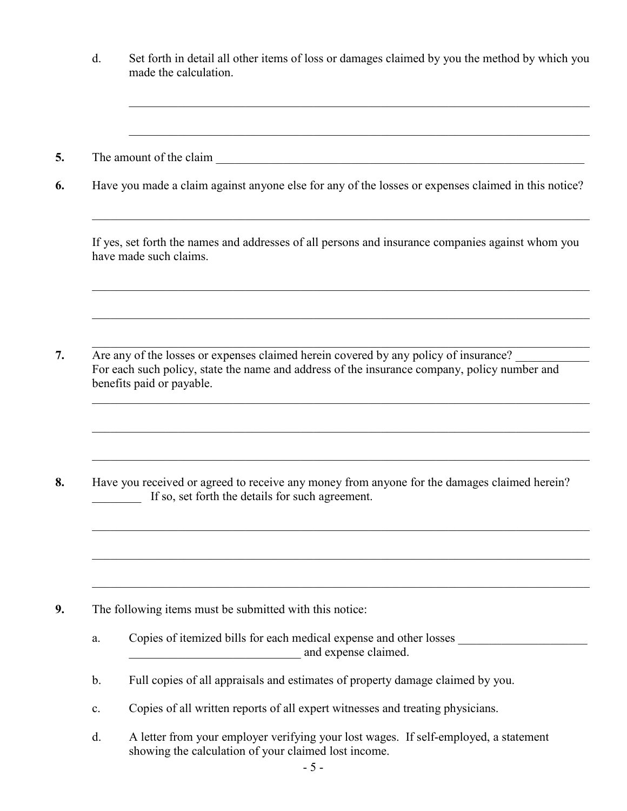d. Set forth in detail all other items of loss or damages claimed by you the method by which you made the calculation.

 $\mathcal{L}_\mathcal{L} = \mathcal{L}_\mathcal{L} = \mathcal{L}_\mathcal{L} = \mathcal{L}_\mathcal{L} = \mathcal{L}_\mathcal{L} = \mathcal{L}_\mathcal{L} = \mathcal{L}_\mathcal{L} = \mathcal{L}_\mathcal{L} = \mathcal{L}_\mathcal{L} = \mathcal{L}_\mathcal{L} = \mathcal{L}_\mathcal{L} = \mathcal{L}_\mathcal{L} = \mathcal{L}_\mathcal{L} = \mathcal{L}_\mathcal{L} = \mathcal{L}_\mathcal{L} = \mathcal{L}_\mathcal{L} = \mathcal{L}_\mathcal{L}$ 

- **5.** The amount of the claim
- **6.** Have you made a claim against anyone else for any of the losses or expenses claimed in this notice?

If yes, set forth the names and addresses of all persons and insurance companies against whom you have made such claims.

 $\mathcal{L}_\mathcal{L} = \mathcal{L}_\mathcal{L} = \mathcal{L}_\mathcal{L} = \mathcal{L}_\mathcal{L} = \mathcal{L}_\mathcal{L} = \mathcal{L}_\mathcal{L} = \mathcal{L}_\mathcal{L} = \mathcal{L}_\mathcal{L} = \mathcal{L}_\mathcal{L} = \mathcal{L}_\mathcal{L} = \mathcal{L}_\mathcal{L} = \mathcal{L}_\mathcal{L} = \mathcal{L}_\mathcal{L} = \mathcal{L}_\mathcal{L} = \mathcal{L}_\mathcal{L} = \mathcal{L}_\mathcal{L} = \mathcal{L}_\mathcal{L}$ 

 $\mathcal{L}_\mathcal{L} = \mathcal{L}_\mathcal{L} = \mathcal{L}_\mathcal{L} = \mathcal{L}_\mathcal{L} = \mathcal{L}_\mathcal{L} = \mathcal{L}_\mathcal{L} = \mathcal{L}_\mathcal{L} = \mathcal{L}_\mathcal{L} = \mathcal{L}_\mathcal{L} = \mathcal{L}_\mathcal{L} = \mathcal{L}_\mathcal{L} = \mathcal{L}_\mathcal{L} = \mathcal{L}_\mathcal{L} = \mathcal{L}_\mathcal{L} = \mathcal{L}_\mathcal{L} = \mathcal{L}_\mathcal{L} = \mathcal{L}_\mathcal{L}$ 

 $\mathcal{L}_\mathcal{L} = \mathcal{L}_\mathcal{L} = \mathcal{L}_\mathcal{L} = \mathcal{L}_\mathcal{L} = \mathcal{L}_\mathcal{L} = \mathcal{L}_\mathcal{L} = \mathcal{L}_\mathcal{L} = \mathcal{L}_\mathcal{L} = \mathcal{L}_\mathcal{L} = \mathcal{L}_\mathcal{L} = \mathcal{L}_\mathcal{L} = \mathcal{L}_\mathcal{L} = \mathcal{L}_\mathcal{L} = \mathcal{L}_\mathcal{L} = \mathcal{L}_\mathcal{L} = \mathcal{L}_\mathcal{L} = \mathcal{L}_\mathcal{L}$ 

**7.** Are any of the losses or expenses claimed herein covered by any policy of insurance? For each such policy, state the name and address of the insurance company, policy number and benefits paid or payable.

**8.** Have you received or agreed to receive any money from anyone for the damages claimed herein? If so, set forth the details for such agreement.

- **9.** The following items must be submitted with this notice:
	- a. Copies of itemized bills for each medical expense and other losses \_\_\_\_\_\_\_\_\_\_\_\_\_\_\_\_\_ and expense claimed.
	- b. Full copies of all appraisals and estimates of property damage claimed by you.
	- c. Copies of all written reports of all expert witnesses and treating physicians.
	- d. A letter from your employer verifying your lost wages. If self-employed, a statement showing the calculation of your claimed lost income.